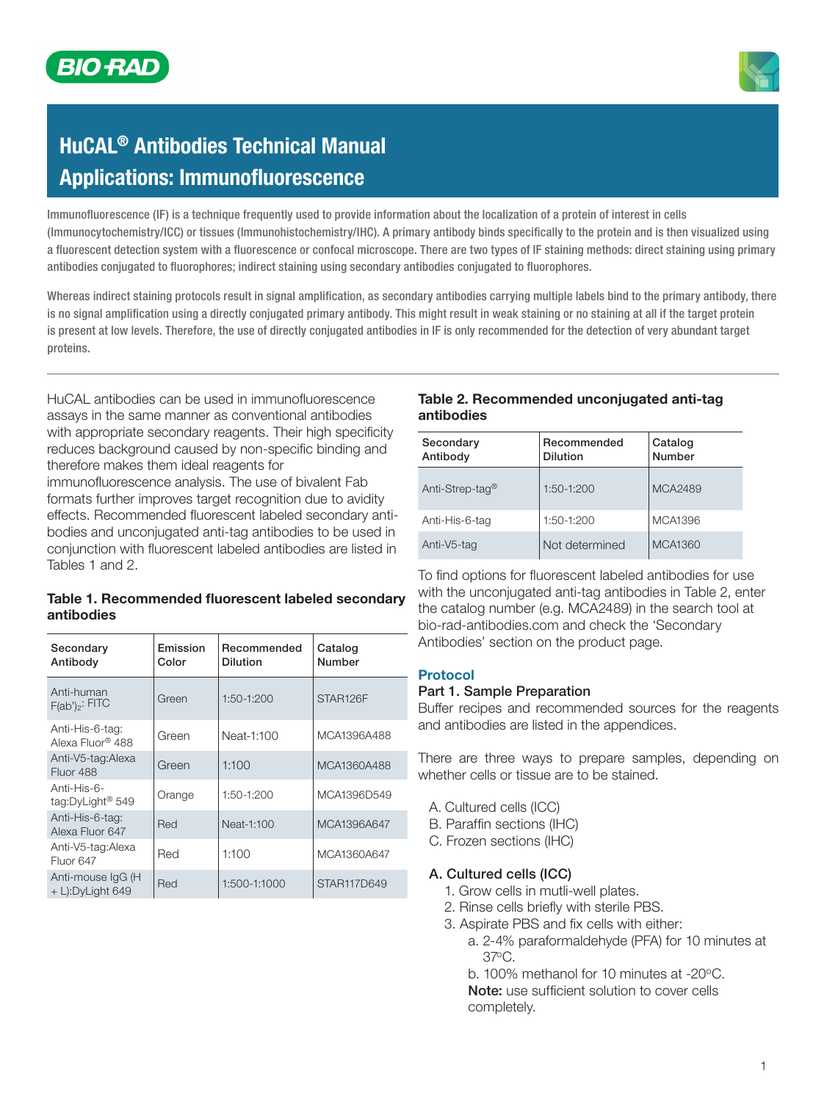

# HuCAL® Antibodies Technical Manual **Applications: Immunofluorescence**

Immunofluorescence (IF) is a technique frequently used to provide information about the localization of a protein of interest in cells (Immunocytochemistry/ICC) or tissues (Immunohistochemistry/IHC). A primary antibody binds specifically to the protein and is then visualized using a fluorescent detection system with a fluorescence or confocal microscope. There are two types of IF staining methods: direct staining using primary antibodies conjugated to fluorophores; indirect staining using secondary antibodies conjugated to fluorophores.

Whereas indirect staining protocols result in signal amplification, as secondary antibodies carrying multiple labels bind to the primary antibody, there is no signal amplification using a directly conjugated primary antibody. This might result in weak staining or no staining at all if the target protein is present at low levels. Therefore, the use of directly conjugated antibodies in IF is only recommended for the detection of very abundant target proteins.

HuCAL antibodies can be used in immunofluorescence assays in the same manner as conventional antibodies with appropriate secondary reagents. Their high specificity reduces background caused by non-specific binding and therefore makes them ideal reagents for

immunofluorescence analysis. The use of bivalent Fab formats further improves target recognition due to avidity effects. Recommended fluorescent labeled secondary antibodies and unconjugated anti-tag antibodies to be used in conjunction with fluorescent labeled antibodies are listed in Tables 1 and 2.

#### Table 1. Recommended fluorescent labeled secondary antibodies

| Secondary<br>Antibody                       | Emission<br>Color | Recommended<br><b>Dilution</b> | Catalog<br>Number |
|---------------------------------------------|-------------------|--------------------------------|-------------------|
| Anti-human<br>$F(ab')_2$ : FITC             | Green             | 1:50-1:200                     | STAR126F          |
| Anti-His-6-tag:<br>Alexa Fluor® 488         | Green             | Neat-1:100                     | MCA1396A488       |
| Anti-V5-tag:Alexa<br>Fluor 488              | Green             | 1:100                          | MCA1360A488       |
| Anti-His-6-<br>tag:DyLight <sup>®</sup> 549 | Orange            | 1:50-1:200                     | MCA1396D549       |
| Anti-His-6-tag:<br>Alexa Fluor 647          | Red               | Neat-1:100                     | MCA1396A647       |
| Anti-V5-tag:Alexa<br>Fluor 647              | Red               | 1:100                          | MCA1360A647       |
| Anti-mouse IgG (H)<br>$+$ L):DyLight 649    | Red               | 1:500-1:1000                   | STAR117D649       |

### Table 2. Recommended unconjugated anti-tag antibodies

| Secondary<br>Antibody       | Recommended<br><b>Dilution</b> | Catalog<br>Number |
|-----------------------------|--------------------------------|-------------------|
| Anti-Strep-tag <sup>®</sup> | $1:50-1:200$                   | MCA2489           |
| Anti-His-6-tag              | 1:50-1:200                     | MCA1396           |
| Anti-V5-tag                 | Not determined                 | MCA1360           |

To find options for fluorescent labeled antibodies for use with the unconjugated anti-tag antibodies in Table 2, enter the catalog number (e.g. MCA2489) in the search tool at bio-rad-antibodies.com and check the 'Secondary Antibodies' section on the product page.

#### Protocol

#### Part 1. Sample Preparation

Buffer recipes and recommended sources for the reagents and antibodies are listed in the appendices.

There are three ways to prepare samples, depending on whether cells or tissue are to be stained.

- A. Cultured cells (ICC)
- B. Paraffin sections (IHC)
- C. Frozen sections (IHC)

#### A. Cultured cells (ICC)

- 1. Grow cells in mutli-well plates.
- 2. Rinse cells briefly with sterile PBS.
- 3. Aspirate PBS and fix cells with either:
	- a. 2-4% paraformaldehyde (PFA) for 10 minutes at 37oC.

b. 100% methanol for 10 minutes at -20°C. Note: use sufficient solution to cover cells completely.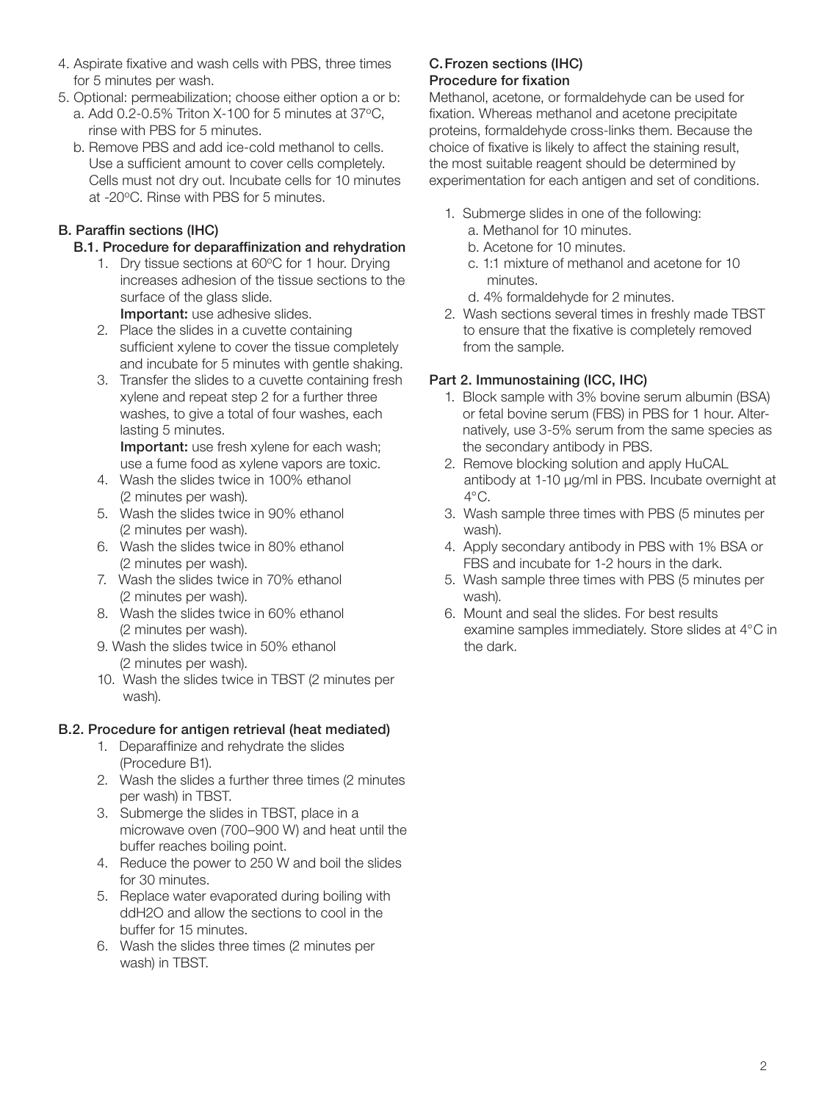- 4. Aspirate fixative and wash cells with PBS, three times for 5 minutes per wash.
- 5. Optional: permeabilization; choose either option a or b:
	- a. Add  $0.2$ -0.5% Triton X-100 for 5 minutes at 37 $\degree$ C. rinse with PBS for 5 minutes.
	- b. Remove PBS and add ice-cold methanol to cells. Use a sufficient amount to cover cells completely. Cells must not dry out. Incubate cells for 10 minutes at -20°C. Rinse with PBS for 5 minutes.

# B. Paraffin sections (IHC)

## B.1. Procedure for deparaffinization and rehydration

- 1. Dry tissue sections at 60°C for 1 hour. Drying increases adhesion of the tissue sections to the surface of the glass slide. Important: use adhesive slides.
- 2. Place the slides in a cuvette containing
- sufficient xylene to cover the tissue completely and incubate for 5 minutes with gentle shaking.
- 3. Transfer the slides to a cuvette containing fresh xylene and repeat step 2 for a further three washes, to give a total of four washes, each lasting 5 minutes.

Important: use fresh xylene for each wash; use a fume food as xylene vapors are toxic.

- 4. Wash the slides twice in 100% ethanol (2 minutes per wash).
- 5. Wash the slides twice in 90% ethanol (2 minutes per wash).
- 6. Wash the slides twice in 80% ethanol (2 minutes per wash).
- 7. Wash the slides twice in 70% ethanol (2 minutes per wash).
- 8. Wash the slides twice in 60% ethanol (2 minutes per wash).
- 9. Wash the slides twice in 50% ethanol (2 minutes per wash).
- 10. Wash the slides twice in TBST (2 minutes per wash).

# B.2. Procedure for antigen retrieval (heat mediated)

- 1. Deparaffinize and rehydrate the slides (Procedure B1).
- 2. Wash the slides a further three times (2 minutes per wash) in TBST.
- 3. Submerge the slides in TBST, place in a microwave oven (700–900 W) and heat until the buffer reaches boiling point.
- 4. Reduce the power to 250 W and boil the slides for 30 minutes.
- 5. Replace water evaporated during boiling with ddH2O and allow the sections to cool in the buffer for 15 minutes.
- 6. Wash the slides three times (2 minutes per wash) in TBST.

#### C.Frozen sections (IHC) Procedure for fixation

Methanol, acetone, or formaldehyde can be used for fixation. Whereas methanol and acetone precipitate proteins, formaldehyde cross-links them. Because the choice of fixative is likely to affect the staining result, the most suitable reagent should be determined by experimentation for each antigen and set of conditions.

- 1. Submerge slides in one of the following:
	- a. Methanol for 10 minutes.
	- b. Acetone for 10 minutes.
	- c. 1:1 mixture of methanol and acetone for 10 minutes.
	- d. 4% formaldehyde for 2 minutes.
- 2. Wash sections several times in freshly made TBST to ensure that the fixative is completely removed from the sample.

# Part 2. Immunostaining (ICC, IHC)

- 1. Block sample with 3% bovine serum albumin (BSA) or fetal bovine serum (FBS) in PBS for 1 hour. Alternatively, use 3-5% serum from the same species as the secondary antibody in PBS.
- 2. Remove blocking solution and apply HuCAL antibody at 1-10 µg/ml in PBS. Incubate overnight at  $4^{\circ}$ C.
- 3. Wash sample three times with PBS (5 minutes per wash).
- 4. Apply secondary antibody in PBS with 1% BSA or FBS and incubate for 1-2 hours in the dark.
- 5. Wash sample three times with PBS (5 minutes per wash).
- 6. Mount and seal the slides. For best results examine samples immediately. Store slides at 4°C in the dark.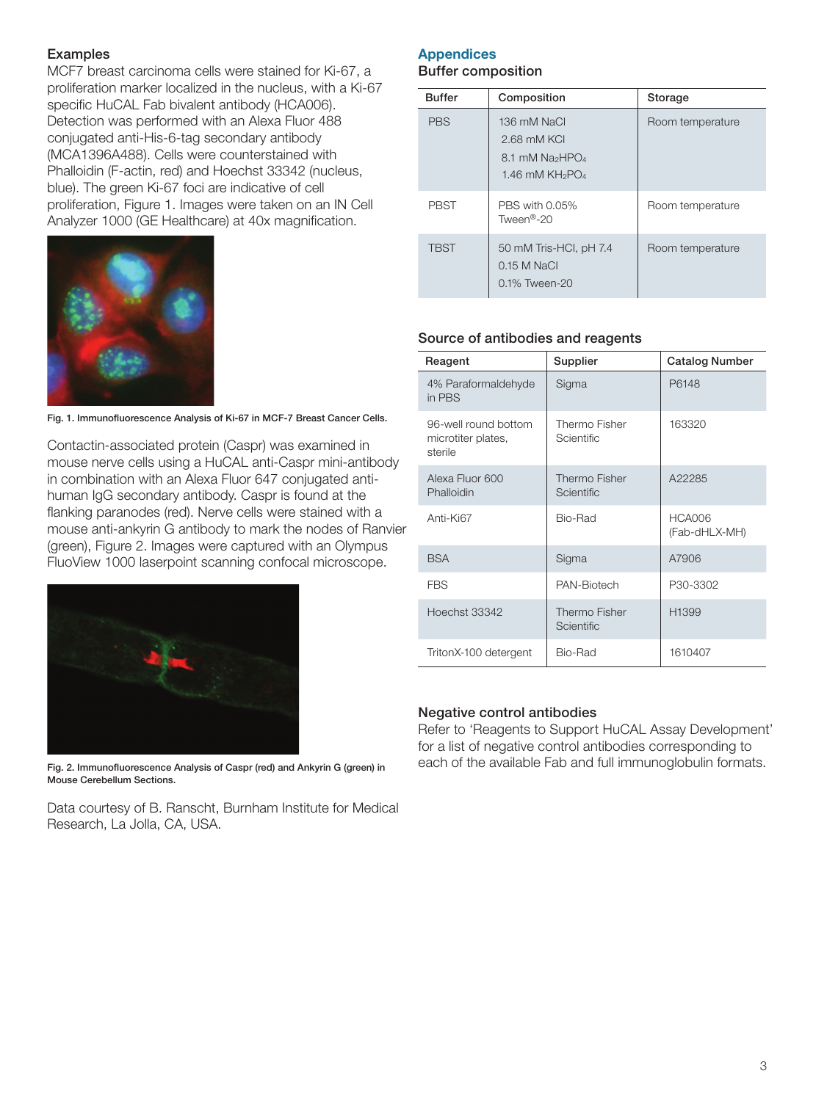#### Examples

MCF7 breast carcinoma cells were stained for Ki-67, a proliferation marker localized in the nucleus, with a Ki-67 specific HuCAL Fab bivalent antibody (HCA006). Detection was performed with an Alexa Fluor 488 conjugated anti-His-6-tag secondary antibody (MCA1396A488). Cells were counterstained with Phalloidin (F-actin, red) and Hoechst 33342 (nucleus, blue). The green Ki-67 foci are indicative of cell proliferation, Figure 1. Images were taken on an IN Cell Analyzer 1000 (GE Healthcare) at 40x magnification.



Fig. 1. Immunofluorescence Analysis of Ki-67 in MCF-7 Breast Cancer Cells.

Contactin-associated protein (Caspr) was examined in mouse nerve cells using a HuCAL anti-Caspr mini-antibody in combination with an Alexa Fluor 647 conjugated antihuman IgG secondary antibody. Caspr is found at the flanking paranodes (red). Nerve cells were stained with a mouse anti-ankyrin G antibody to mark the nodes of Ranvier (green), Figure 2. Images were captured with an Olympus FluoView 1000 laserpoint scanning confocal microscope.



Fig. 2. Immunofluorescence Analysis of Caspr (red) and Ankyrin G (green) in Mouse Cerebellum Sections.

Data courtesy of B. Ranscht, Burnham Institute for Medical Research, La Jolla, CA, USA.

# **Appendices**

#### Buffer composition

| <b>Buffer</b> | Composition                                                                                 | Storage          |
|---------------|---------------------------------------------------------------------------------------------|------------------|
| <b>PBS</b>    | 136 mM NaCl<br>2.68 mM KCI<br>8.1 mM Na <sub>2</sub> HPO <sub>4</sub><br>1.46 mM $KH_2PO_4$ | Room temperature |
| <b>PBST</b>   | PBS with 0.05%<br>Tween <sup>®</sup> -20                                                    | Room temperature |
| <b>TBST</b>   | 50 mM Tris-HCI, pH 7.4<br>$0.15$ M NaCl<br>$0.1\%$ Tween-20                                 | Room temperature |

#### Source of antibodies and reagents

| Reagent                                               | Supplier                           | <b>Catalog Number</b>          |
|-------------------------------------------------------|------------------------------------|--------------------------------|
| 4% Paraformaldehyde<br>in PBS                         | Sigma                              | P6148                          |
| 96-well round bottom<br>microtiter plates,<br>sterile | Thermo Fisher<br><b>Scientific</b> | 163320                         |
| Alexa Fluor 600<br>Phalloidin                         | Thermo Fisher<br><b>Scientific</b> | A22285                         |
| Anti-Ki67                                             | Bio-Rad                            | <b>HCA006</b><br>(Fab-dHLX-MH) |
| <b>BSA</b>                                            | Sigma                              | A7906                          |
| <b>FBS</b>                                            | PAN-Biotech                        | P30-3302                       |
| Hoechst 33342                                         | Thermo Fisher<br>Scientific        | H1399                          |
| TritonX-100 detergent                                 | Bio-Rad                            | 1610407                        |

#### Negative control antibodies

Refer to 'Reagents to Support HuCAL Assay Development' for a list of negative control antibodies corresponding to each of the available Fab and full immunoglobulin formats.